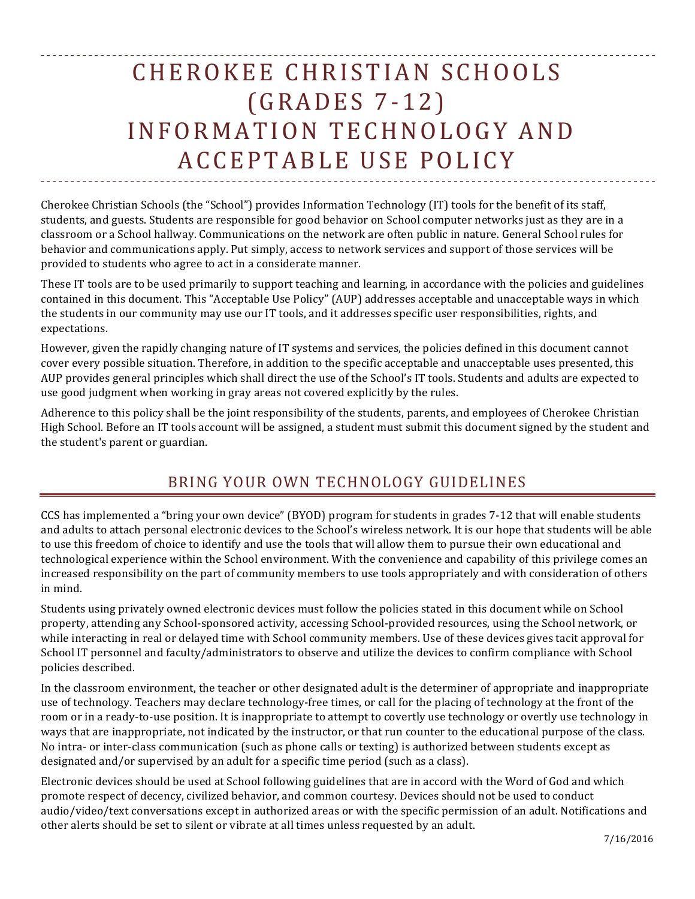# CHEROKEE CHRISTIAN SCHOOLS (GRADES 7-1 2) INFORMATION TECHNOLOG Y AND ACCEPTABLE USE POLICY

Cherokee Christian Schools (the "School") provides Information Technology (IT) tools for the benefit of its staff, students, and guests. Students are responsible for good behavior on School computer networks just as they are in a classroom or a School hallway. Communications on the network are often public in nature. General School rules for behavior and communications apply. Put simply, access to network services and support of those services will be provided to students who agree to act in a considerate manner.

These IT tools are to be used primarily to support teaching and learning, in accordance with the policies and guidelines contained in this document. This "Acceptable Use Policy" (AUP) addresses acceptable and unacceptable ways in which the students in our community may use our IT tools, and it addresses specific user responsibilities, rights, and expectations.

However, given the rapidly changing nature of IT systems and services, the policies defined in this document cannot cover every possible situation. Therefore, in addition to the specific acceptable and unacceptable uses presented, this AUP provides general principles which shall direct the use of the School's IT tools. Students and adults are expected to use good judgment when working in gray areas not covered explicitly by the rules.

Adherence to this policy shall be the joint responsibility of the students, parents, and employees of Cherokee Christian High School. Before an IT tools account will be assigned, a student must submit this document signed by the student and the student's parent or guardian.

# BRING YOUR OWN TECHNOLOGY GUIDELINES

CCS has implemented a "bring your own device" (BYOD) program for students in grades 7-12 that will enable students and adults to attach personal electronic devices to the School's wireless network. It is our hope that students will be able to use this freedom of choice to identify and use the tools that will allow them to pursue their own educational and technological experience within the School environment. With the convenience and capability of this privilege comes an increased responsibility on the part of community members to use tools appropriately and with consideration of others in mind.

Students using privately owned electronic devices must follow the policies stated in this document while on School property, attending any School-sponsored activity, accessing School-provided resources, using the School network, or while interacting in real or delayed time with School community members. Use of these devices gives tacit approval for School IT personnel and faculty/administrators to observe and utilize the devices to confirm compliance with School policies described.

In the classroom environment, the teacher or other designated adult is the determiner of appropriate and inappropriate use of technology. Teachers may declare technology-free times, or call for the placing of technology at the front of the room or in a ready-to-use position. It is inappropriate to attempt to covertly use technology or overtly use technology in ways that are inappropriate, not indicated by the instructor, or that run counter to the educational purpose of the class. No intra- or inter-class communication (such as phone calls or texting) is authorized between students except as designated and/or supervised by an adult for a specific time period (such as a class).

Electronic devices should be used at School following guidelines that are in accord with the Word of God and which promote respect of decency, civilized behavior, and common courtesy. Devices should not be used to conduct audio/video/text conversations except in authorized areas or with the specific permission of an adult. Notifications and other alerts should be set to silent or vibrate at all times unless requested by an adult.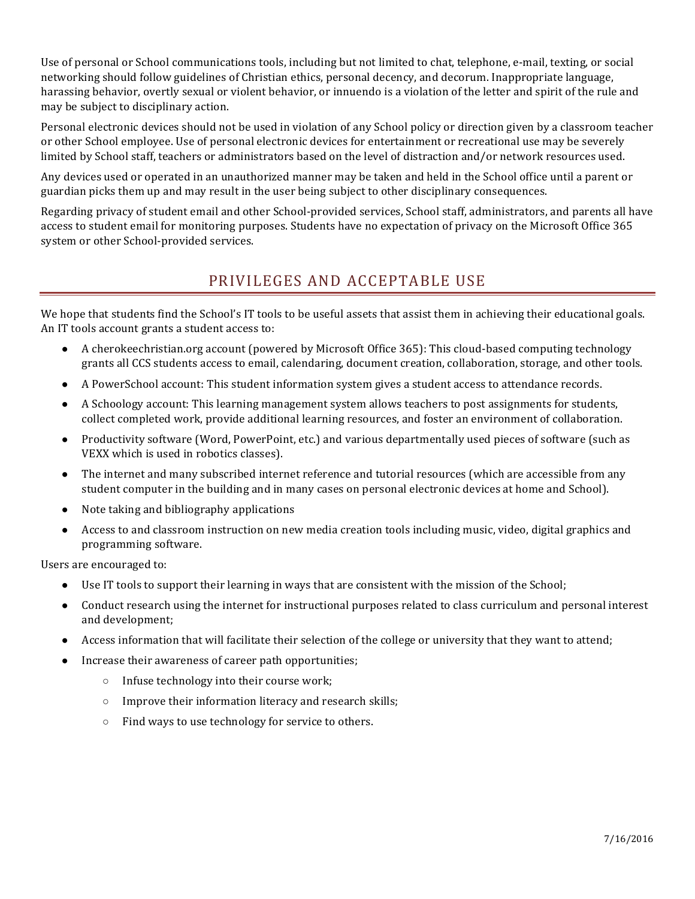Use of personal or School communications tools, including but not limited to chat, telephone, e-mail, texting, or social networking should follow guidelines of Christian ethics, personal decency, and decorum. Inappropriate language, harassing behavior, overtly sexual or violent behavior, or innuendo is a violation of the letter and spirit of the rule and may be subject to disciplinary action.

Personal electronic devices should not be used in violation of any School policy or direction given by a classroom teacher or other School employee. Use of personal electronic devices for entertainment or recreational use may be severely limited by School staff, teachers or administrators based on the level of distraction and/or network resources used.

Any devices used or operated in an unauthorized manner may be taken and held in the School office until a parent or guardian picks them up and may result in the user being subject to other disciplinary consequences.

Regarding privacy of student email and other School-provided services, School staff, administrators, and parents all have access to student email for monitoring purposes. Students have no expectation of privacy on the Microsoft Office 365 system or other School-provided services.

## PRIVILEGES AND ACCEPTABLE USE

We hope that students find the School's IT tools to be useful assets that assist them in achieving their educational goals. An IT tools account grants a student access to:

- A cherokeechristian.org account (powered by Microsoft Office 365): This cloud-based computing technology grants all CCS students access to email, calendaring, document creation, collaboration, storage, and other tools.
- A PowerSchool account: This student information system gives a student access to attendance records.
- A Schoology account: This learning management system allows teachers to post assignments for students, collect completed work, provide additional learning resources, and foster an environment of collaboration.
- Productivity software (Word, PowerPoint, etc.) and various departmentally used pieces of software (such as VEXX which is used in robotics classes).
- The internet and many subscribed internet reference and tutorial resources (which are accessible from any student computer in the building and in many cases on personal electronic devices at home and School).
- Note taking and bibliography applications
- Access to and classroom instruction on new media creation tools including music, video, digital graphics and programming software.

Users are encouraged to:

- Use IT tools to support their learning in ways that are consistent with the mission of the School;
- Conduct research using the internet for instructional purposes related to class curriculum and personal interest and development;
- Access information that will facilitate their selection of the college or university that they want to attend;
- Increase their awareness of career path opportunities;
	- $\circ$  Infuse technology into their course work;
	- $\circ$  Improve their information literacy and research skills;
	- $\circ$  Find ways to use technology for service to others.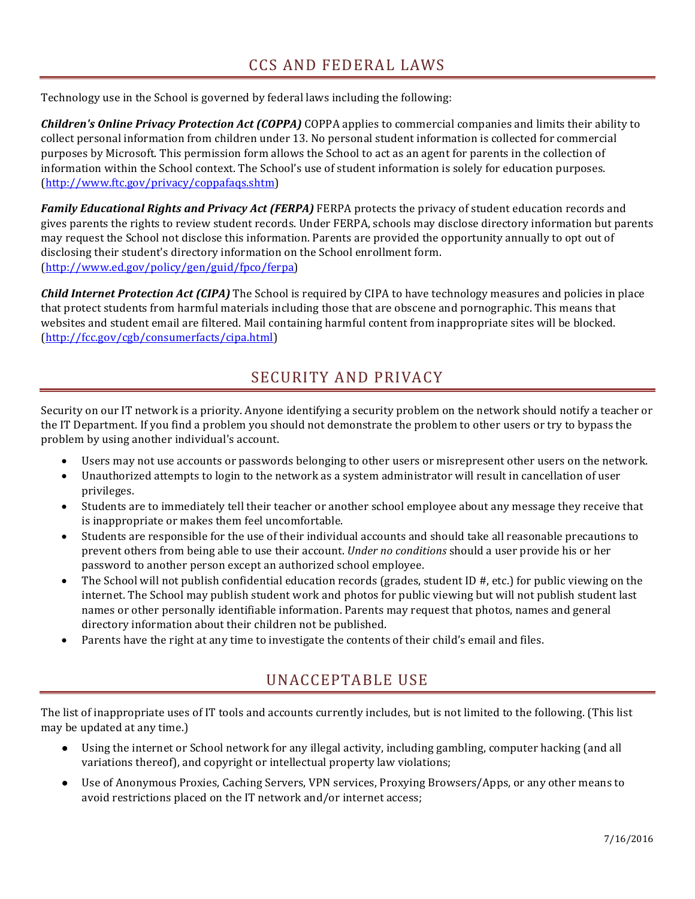Technology use in the School is governed by federal laws including the following:

*Children's Online Privacy Protection Act (COPPA)* COPPA applies to commercial companies and limits their ability to collect personal information from children under 13. No personal student information is collected for commercial purposes by Microsoft. This permission form allows the School to act as an agent for parents in the collection of information within the School context. The School's use of student information is solely for education purposes. (http://www.ftc.gov/privacy/coppafaqs.shtm)

**Family Educational Rights and Privacy Act (FERPA)** FERPA protects the privacy of student education records and gives parents the rights to review student records. Under FERPA, schools may disclose directory information but parents may request the School not disclose this information. Parents are provided the opportunity annually to opt out of disclosing their student's directory information on the School enrollment form. (http://www.ed.gov/policy/gen/guid/fpco/ferpa)

**Child Internet Protection Act (CIPA)** The School is required by CIPA to have technology measures and policies in place that protect students from harmful materials including those that are obscene and pornographic. This means that websites and student email are filtered. Mail containing harmful content from inappropriate sites will be blocked. (http://fcc.gov/cgb/consumerfacts/cipa.html)

## SECURITY AND PRIVACY

Security on our IT network is a priority. Anyone identifying a security problem on the network should notify a teacher or the IT Department. If you find a problem you should not demonstrate the problem to other users or try to bypass the problem by using another individual's account.

- Users may not use accounts or passwords belonging to other users or misrepresent other users on the network.
- Unauthorized attempts to login to the network as a system administrator will result in cancellation of user privileges.
- Students are to immediately tell their teacher or another school employee about any message they receive that is inappropriate or makes them feel uncomfortable.
- Students are responsible for the use of their individual accounts and should take all reasonable precautions to prevent others from being able to use their account. *Under no conditions* should a user provide his or her password to another person except an authorized school employee.
- The School will not publish confidential education records (grades, student ID  $#$ , etc.) for public viewing on the internet. The School may publish student work and photos for public viewing but will not publish student last names or other personally identifiable information. Parents may request that photos, names and general directory information about their children not be published.
- Parents have the right at any time to investigate the contents of their child's email and files.

## UNACCEPTABLE USE

The list of inappropriate uses of IT tools and accounts currently includes, but is not limited to the following. (This list may be updated at any time.)

- Using the internet or School network for any illegal activity, including gambling, computer hacking (and all variations thereof), and copyright or intellectual property law violations;
- Use of Anonymous Proxies, Caching Servers, VPN services, Proxying Browsers/Apps, or any other means to avoid restrictions placed on the IT network and/or internet access;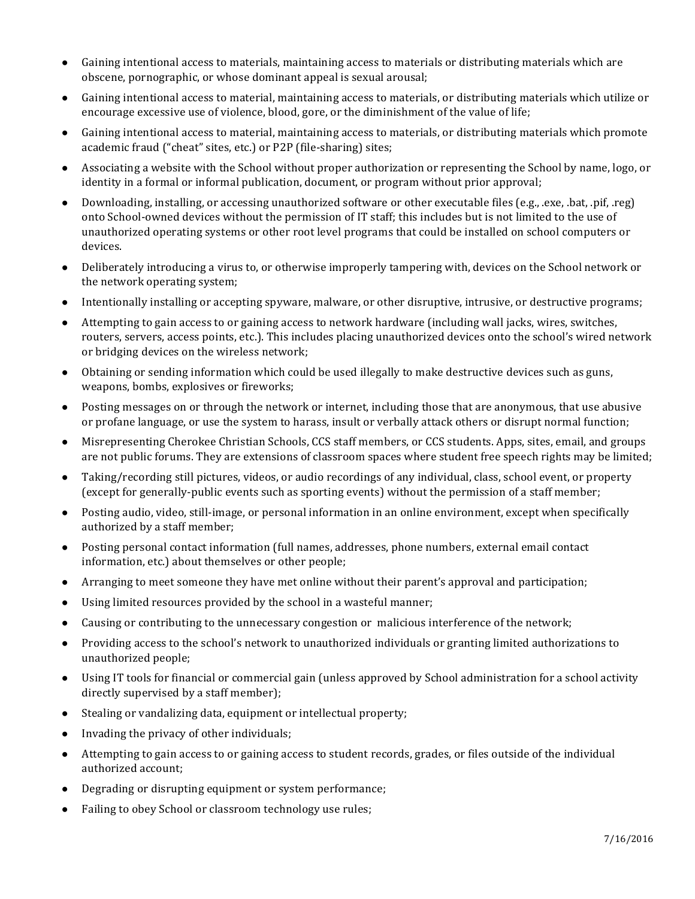- Gaining intentional access to materials, maintaining access to materials or distributing materials which are obscene, pornographic, or whose dominant appeal is sexual arousal;
- Gaining intentional access to material, maintaining access to materials, or distributing materials which utilize or encourage excessive use of violence, blood, gore, or the diminishment of the value of life;
- Gaining intentional access to material, maintaining access to materials, or distributing materials which promote academic fraud ("cheat" sites, etc.) or P2P (file-sharing) sites;
- Associating a website with the School without proper authorization or representing the School by name, logo, or identity in a formal or informal publication, document, or program without prior approval;
- Downloading, installing, or accessing unauthorized software or other executable files (e.g., .exe, .bat, .pif, .reg) onto School-owned devices without the permission of IT staff; this includes but is not limited to the use of unauthorized operating systems or other root level programs that could be installed on school computers or devices.
- Deliberately introducing a virus to, or otherwise improperly tampering with, devices on the School network or the network operating system;
- Intentionally installing or accepting spyware, malware, or other disruptive, intrusive, or destructive programs;
- Attempting to gain access to or gaining access to network hardware (including wall jacks, wires, switches, routers, servers, access points, etc.). This includes placing unauthorized devices onto the school's wired network or bridging devices on the wireless network;
- Obtaining or sending information which could be used illegally to make destructive devices such as guns, weapons, bombs, explosives or fireworks;
- Posting messages on or through the network or internet, including those that are anonymous, that use abusive or profane language, or use the system to harass, insult or verbally attack others or disrupt normal function;
- Misrepresenting Cherokee Christian Schools, CCS staff members, or CCS students. Apps, sites, email, and groups are not public forums. They are extensions of classroom spaces where student free speech rights may be limited;
- Taking/recording still pictures, videos, or audio recordings of any individual, class, school event, or property (except for generally-public events such as sporting events) without the permission of a staff member;
- Posting audio, video, still-image, or personal information in an online environment, except when specifically authorized by a staff member;
- Posting personal contact information (full names, addresses, phone numbers, external email contact information, etc.) about themselves or other people;
- Arranging to meet someone they have met online without their parent's approval and participation;
- Using limited resources provided by the school in a wasteful manner;
- Causing or contributing to the unnecessary congestion or malicious interference of the network;
- Providing access to the school's network to unauthorized individuals or granting limited authorizations to unauthorized people;
- Using IT tools for financial or commercial gain (unless approved by School administration for a school activity directly supervised by a staff member);
- $\bullet$  Stealing or vandalizing data, equipment or intellectual property;
- Invading the privacy of other individuals;
- Attempting to gain access to or gaining access to student records, grades, or files outside of the individual authorized account;
- Degrading or disrupting equipment or system performance;
- Failing to obey School or classroom technology use rules;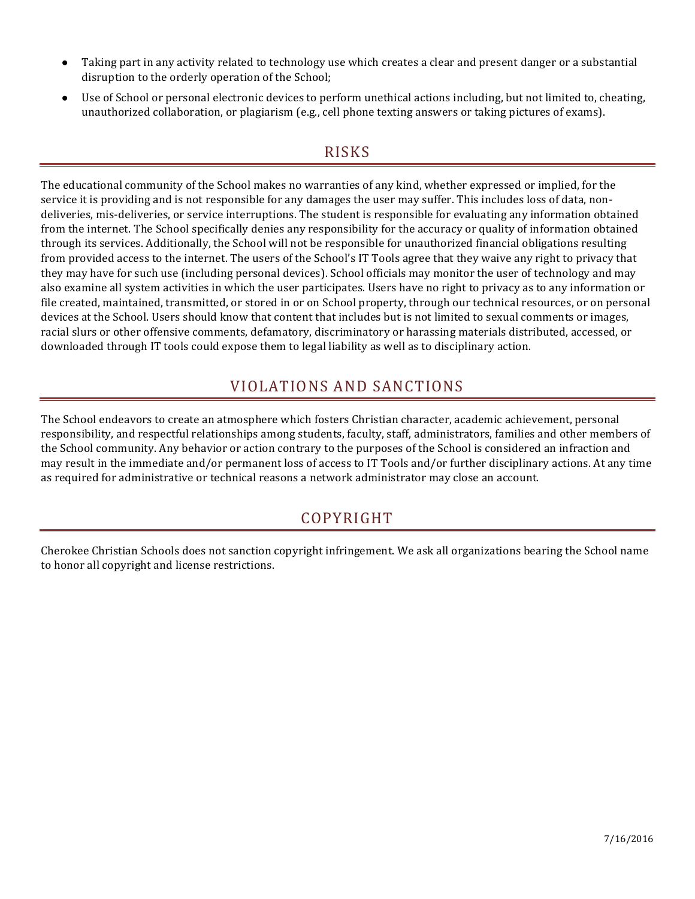- Taking part in any activity related to technology use which creates a clear and present danger or a substantial disruption to the orderly operation of the School;
- Use of School or personal electronic devices to perform unethical actions including, but not limited to, cheating, unauthorized collaboration, or plagiarism (e.g., cell phone texting answers or taking pictures of exams).

#### RISKS

The educational community of the School makes no warranties of any kind, whether expressed or implied, for the service it is providing and is not responsible for any damages the user may suffer. This includes loss of data, nondeliveries, mis-deliveries, or service interruptions. The student is responsible for evaluating any information obtained from the internet. The School specifically denies any responsibility for the accuracy or quality of information obtained through its services. Additionally, the School will not be responsible for unauthorized financial obligations resulting from provided access to the internet. The users of the School's IT Tools agree that they waive any right to privacy that they may have for such use (including personal devices). School officials may monitor the user of technology and may also examine all system activities in which the user participates. Users have no right to privacy as to any information or file created, maintained, transmitted, or stored in or on School property, through our technical resources, or on personal devices at the School. Users should know that content that includes but is not limited to sexual comments or images, racial slurs or other offensive comments, defamatory, discriminatory or harassing materials distributed, accessed, or downloaded through IT tools could expose them to legal liability as well as to disciplinary action.

### VIOLATIONS AND SANCTIONS

The School endeavors to create an atmosphere which fosters Christian character, academic achievement, personal responsibility, and respectful relationships among students, faculty, staff, administrators, families and other members of the School community. Any behavior or action contrary to the purposes of the School is considered an infraction and may result in the immediate and/or permanent loss of access to IT Tools and/or further disciplinary actions. At any time as required for administrative or technical reasons a network administrator may close an account.

#### COPYRIGHT

Cherokee Christian Schools does not sanction copyright infringement. We ask all organizations bearing the School name to honor all copyright and license restrictions.